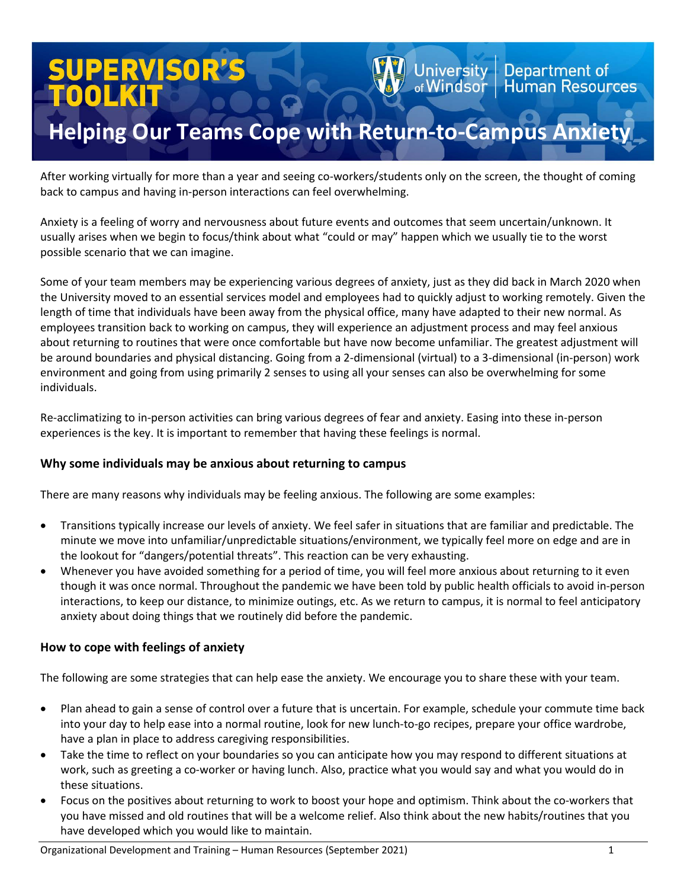# **PERVISOR**

# **Helping Our Teams Cope with Return-to-Campus Anxiet**

After working virtually for more than a year and seeing co-workers/students only on the screen, the thought of coming back to campus and having in-person interactions can feel overwhelming.

Anxiety is a feeling of worry and nervousness about future events and outcomes that seem uncertain/unknown. It usually arises when we begin to focus/think about what "could or may" happen which we usually tie to the worst possible scenario that we can imagine.

Some of your team members may be experiencing various degrees of anxiety, just as they did back in March 2020 when the University moved to an essential services model and employees had to quickly adjust to working remotely. Given the length of time that individuals have been away from the physical office, many have adapted to their new normal. As employees transition back to working on campus, they will experience an adjustment process and may feel anxious about returning to routines that were once comfortable but have now become unfamiliar. The greatest adjustment will be around boundaries and physical distancing. Going from a 2-dimensional (virtual) to a 3-dimensional (in-person) work environment and going from using primarily 2 senses to using all your senses can also be overwhelming for some individuals.

Re-acclimatizing to in-person activities can bring various degrees of fear and anxiety. Easing into these in-person experiences is the key. It is important to remember that having these feelings is normal.

# **Why some individuals may be anxious about returning to campus**

There are many reasons why individuals may be feeling anxious. The following are some examples:

- Transitions typically increase our levels of anxiety. We feel safer in situations that are familiar and predictable. The minute we move into unfamiliar/unpredictable situations/environment, we typically feel more on edge and are in the lookout for "dangers/potential threats". This reaction can be very exhausting.
- Whenever you have avoided something for a period of time, you will feel more anxious about returning to it even though it was once normal. Throughout the pandemic we have been told by public health officials to avoid in-person interactions, to keep our distance, to minimize outings, etc. As we return to campus, it is normal to feel anticipatory anxiety about doing things that we routinely did before the pandemic.

# **How to cope with feelings of anxiety**

The following are some strategies that can help ease the anxiety. We encourage you to share these with your team.

- Plan ahead to gain a sense of control over a future that is uncertain. For example, schedule your commute time back into your day to help ease into a normal routine, look for new lunch-to-go recipes, prepare your office wardrobe, have a plan in place to address caregiving responsibilities.
- Take the time to reflect on your boundaries so you can anticipate how you may respond to different situations at work, such as greeting a co-worker or having lunch. Also, practice what you would say and what you would do in these situations.
- Focus on the positives about returning to work to boost your hope and optimism. Think about the co-workers that you have missed and old routines that will be a welcome relief. Also think about the new habits/routines that you have developed which you would like to maintain.

Department of